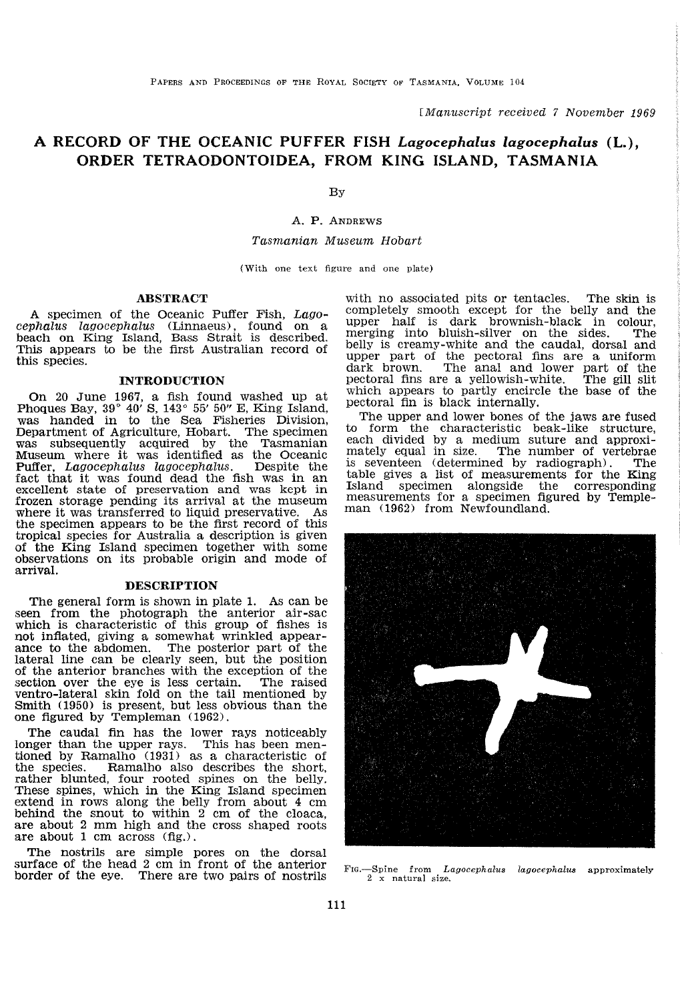[Manuscript received 7 November 1969

# A RECORD OF THE OCEANIC PUFFER FISH *Lagocephalus lagocephalus* (L.), ORDER TETRAODONTOIDEA, FROM KING ISLAND, TASMANIA

By

# A. P. ANDREWS

#### Tasmanian Museum Hobart

(With one text figure and one plate)

## ABSTRACT

A specimen of the Oceanic Puffer Fish, Lagocephalus lagocephalus (Linnaeus) , found on <sup>a</sup> beach on King Island, Bass Strait is described. This appears to be the first Australian record of this species.

#### INTRODUCTION

On 20 June 1967, a fish found washed up at Phoques Bay, 39° 40' S, 143° 55' 50" E, King Island, was handed in to the Sea Fisheries Division, Department of Agriculture, Hobart. The specimen was subsequently acquired by the Tasmanian Museum where it was identified as the Oceanic<br>Puffer. Lagocephalus lagocephalus. Despite the Puffer, Lagocephalus lagocephalus. fact that it was found dead the fish was in an excellent state of preservation and was kept in frozen storage pending its arrival at the museum where it was transferred to liquid preservative. As the specimen appears to be the first record of this tropical species for Australia a description is given of the King Island specimen together with some observations on its probable origin and mode of arrival.

## DESCRIPTION

The general form is shown in plate 1. As can be seen from the photograph the anterior air-sac which is characteristic of this group of fishes is not inflated, giving a somewhat wrinkled appearnot inflated, giving <sup>a</sup> somewhat wrinkled appear- ance to the abdomen. The posterior part of the lateral line can be clearly seen, but the position of the anterior branches with the exception of the section over the eye is less certain. The raised ventro-lateral skin fold on the tail mentioned by Smith (1950) is present, but less obvious than the one figured by Templeman (1962).

The caudal fin has the lower rays noticeably longer than the upper rays. This has been mentioned by Ramalho (1931) as a characteristic of the species. Ramalho also describes the short, Ramalho also describes the short, rather blunted, four rooted spines on the belly. These spines, which in the King Island specimen extend in rows along the belly from about 4 cm behind the snout to within 2 cm of the cloaca, are about 2 mm high and the cross shaped roots are about 1 cm across (fig.).

The nostrils are simple pores on the dorsal surface of the head 2 cm in front of the anterior border of the eye. There are two pairs of nostrils with no associated pits or tentacles. The skin is completely smooth except for the belly and the upper half is dark brownish-black in colour merging into bluish-silver on the sides. The belly is creamy-white and the caudal, dorsal and upper part of the pectoral fins are a uniform<br>dark brown. The anal and lower part of the The anal and lower part of the<br>re a yellowish-white. The gill slit pectoral fins are a yellowish-white. which appears to partly encircle the base of the pectoral fin is black internally.

The upper and lower bones of the jaws are fused to form the characteristic beak-like structure each divided by a medium suture and approximately equal in size. The number of vertebrae<br>is seventeen (determined by radiograph). The is seventeen (determined by radiograph). table gives <sup>a</sup> list of measurements for the King Island specimen alongside the corresponding measurements for <sup>a</sup> specimen figured by Temple- man (1962) from Newfoundland.



FIG.-Spine from *Lagocephalu8 lagocephalu8* approximately x natural size.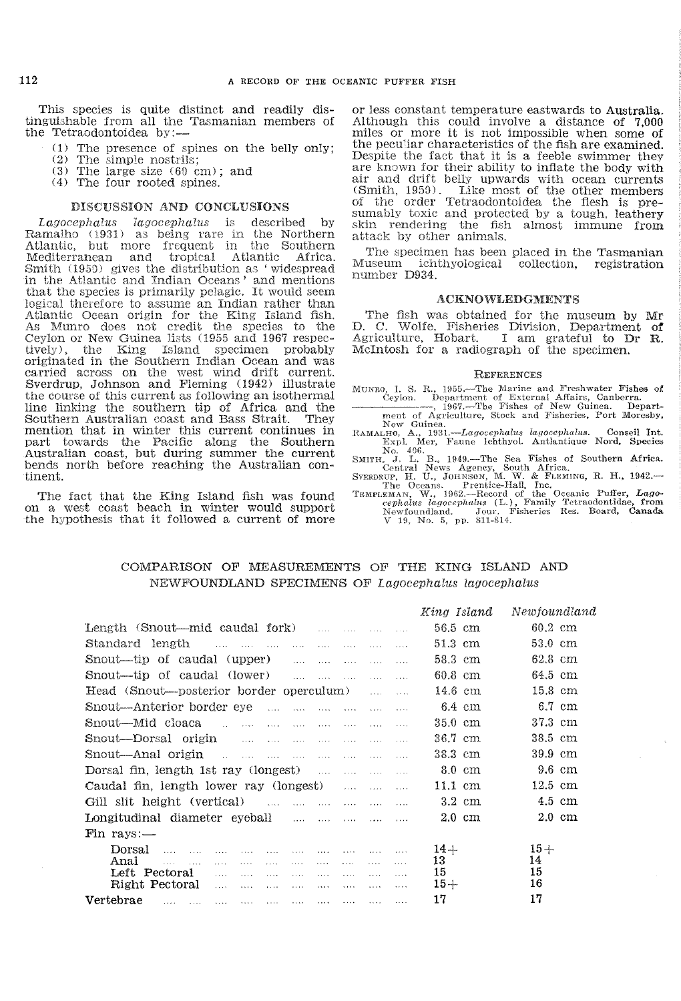This species is quite distinct and readily distinguishable from all the Tasmanian members of the Tetraodontoidea by:-

- (1) The presence of spines on the belly only;
- (2) The simple nostrils;
- (3) The large size (60 cm); and
- (4) The four rooted spines.

## DISCUSSION AND CONCLUSIONS

Lagocephalus lagocephalus is described by<br>Ramalho (1931) as being rare in the Northern<br>Atlantic, but more frequent in the Southern Mediterranean and tropical Atlantic Africa. Smith (1950) gives the distribution as 'widespread in the Atlantic and Indian Oceans' and mentions<br>that the species is primarily pelagic. It would seem<br>logical therefore to assume an Indian rather than logical therefore to assume an Indian rather than<br>Atlantic Ocean origin for the King Island fish.<br>As Munro does not credit the species to the As Munro does not credit the species to the<br>Ceylon or New Guinea lists (1955 and 1967 respec-<br>tively), the King Island specimen probably originated in the Southern Indian Ocean and was carried across on the west wind drift current. Sverdrup, Johnson and Fleming (1942) illustrate the course of this current as following an isothermal line linking the southern tip of Africa and the<br>Southern Australian coast and Bass Strait. They mention that in winter this current continues in part towards the Pacific along the Southern Australian coast, but during summer the current bends north before reaching the Australian con-<br>tinent.

The fact that the King Island fish was found on <sup>a</sup> west coast beach in winter would support the hypothesis that it followed a current of more

or less constant temperature eastwards to Australia. Although this could involve a distance of 7,000 miles or more it is not impossible when some of the peculiar characteristics of the fish are examined. Despite the fact that it is <sup>a</sup> feeble swimmer they are known for their ability to inflate the body with air and drift belly upwards with ocean currents (Smith, 1950). Like most of the other members<br>of the order Tetraodontoidea the flesh is presumably toxic and protected by a tough, leathery skin rendering the fish almost immune from attack by other animals.

The specimen has been placed in the Tasmanian Museum ichthyological collection, registration number D934.

### **ACKNOWLEDGMENTS**

The fish was obtained for the museum by Mr Fisheries Division, Department of<br>
phart. I am grateful to Dr R. McIntosh for a radiograph of the specimen.

#### **REFERENCES**

- MUNRO, I. S. R., 1955.—The Marine and Freshwater Fishes of<br>Ceylon. Department of External Affairs, Canberra.<br>1967.—The Fishes of New Guinea. Depart-<br>ment of Agriculture, Stock and Fisheries, Port Moresby,
- 
- 
- New Guinea.<br>RAMALHO, A., 1931.—*Lagocephalus lagocephalus*. Conseil Int.<br>Expl. Mer, Faune lehthyol. Antlantique Nord, Species<br>No. 406.<br>SMITH, J. L. B., 1949.—The Sea Fishes of Southern Africa.<br>Central News Agency, South Af
- 
- SVERDRUP, H. U., JOHNSON, M. W. & FLEMING, R. H., 1942.--The Oceanic Phetice-Hall, Inc.<br>TEMPLEMAN, W., 1962.--Record of the Oceanic Puffer, Lago-<br>TEMPLEMAN, W., 1962.--Record of the Oceanic Puffer, Lago-<br>cephalus lagocepha

# COMPARISON OF MEASUREMENTS OF THE KING ISLAND AND NEWFOUNDLAND SPECIMENS OF Lagocephalus lagocephalus

|                                                                                                                                                                                                                                                                                                                         | Kina Island         | Newfoundland      |
|-------------------------------------------------------------------------------------------------------------------------------------------------------------------------------------------------------------------------------------------------------------------------------------------------------------------------|---------------------|-------------------|
| Length (Snout—mid caudal fork)                                                                                                                                                                                                                                                                                          | $56.5$ cm           | $60.2$ cm         |
| Standard length<br><b>Sales</b><br><b>Alberta Common</b><br>1.1.1.1<br>$\cdots$                                                                                                                                                                                                                                         | 51.3 cm             | 53.0 cm           |
| Snout—tip of caudal (upper)<br><b>College</b><br>1.111<br>1.111<br><b>Sales</b><br>$\ldots$                                                                                                                                                                                                                             | 58.3 cm             | 62.8 cm           |
| Snout—tip of caudal (lower)<br>$\sim$<br>$\mathbf{1}$                                                                                                                                                                                                                                                                   | $60.8$ cm           | 64.5 cm           |
| Head (Snout—posterior border operculum)<br><b>Sales</b>                                                                                                                                                                                                                                                                 | $14.6 \text{ cm}$   | 15.8 cm           |
| Snout—Anterior border eye<br><b>Sales</b><br>$\mathbf{r}$                                                                                                                                                                                                                                                               | 6.4 cm              | 6.7 cm            |
| Snout—Mid cloaca<br>a constitution of the company of the company of the company of the company of the company of the company of the<br><b>Sales</b><br>1.1.1.1<br>$\sim$                                                                                                                                                | $35.0 \text{ cm}$   | 37.3 cm           |
| Snout-Dorsal origin<br><b>SALE</b><br>$\sim$ $\sim$ $\sim$                                                                                                                                                                                                                                                              | 36.7 cm             | 38.5 cm           |
| Snout—Anal origin and the same was<br>and the same<br>$\mathbf{r}$<br>$\sim$                                                                                                                                                                                                                                            | 38.3 cm             | 39.9 cm           |
| Dorsal fin, length 1st ray (longest)<br>$\sim$<br>$\sim$ $\sim$ $\sim$                                                                                                                                                                                                                                                  | $8.0 \, \text{ cm}$ | 9.6 cm            |
| Caudal fin, length lower ray (longest)<br><b>Service</b><br>$\sim$<br>$\sim$                                                                                                                                                                                                                                            | 11.1 cm             | $12.5 \text{ cm}$ |
| Gill slit height (vertical)<br>$\mathbf{r}$<br>$\cdots$                                                                                                                                                                                                                                                                 | $3.2 \text{ cm}$    | $4.5$ cm          |
| Longitudinal diameter eyeball<br><b>Service</b><br>$\ldots$<br>$\cdots$                                                                                                                                                                                                                                                 | $2.0 \text{ cm}$    | $2.0 \text{ cm}$  |
| Fin $rays:$                                                                                                                                                                                                                                                                                                             |                     |                   |
| Dorsal<br><b>Contract</b><br><b>Contract Contract</b><br>1.111<br>$\cdots$<br>$\cdots$                                                                                                                                                                                                                                  | $14 +$              | $15 +$            |
| Anal<br><b>Salar</b><br>$\cdots$<br>$\cdots$<br>1.111<br>$\cdots$<br>$\sim$<br>$\cdots$<br>$\cdots$<br>$\cdots$<br>1.1.1                                                                                                                                                                                                | 13.                 | 14                |
| Left Pectoral<br>$\cdots$<br>$\sim$<br>1.111<br>$\mathcal{L}(\mathcal{L}(\mathcal{L}))$<br>.<br>1.1.1<br>$\cdots$<br>1.1.1<br>Right Pectoral                                                                                                                                                                            | 15<br>$15 +$        | 15<br>16          |
| $\sim$<br>$\cdots$<br>.<br>$\cdots$<br>$\cdots$<br>1.1.1.1<br>.<br>$\cdots$                                                                                                                                                                                                                                             |                     |                   |
| Vertebrae<br>a contract and contract and contract of the contract of the contract of the contract of the contract of the contract of the contract of the contract of the contract of the contract of the contract of the contract of the co<br>and the same<br>$\cdots$<br>$\cdots$<br>$\cdots$<br>$\cdots$<br>$\cdots$ | 17                  | 17                |